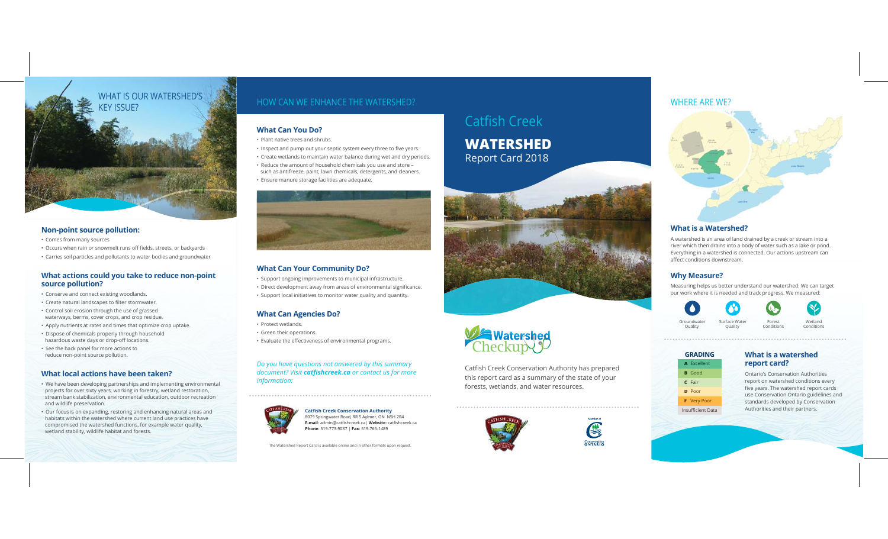

#### **Non-point source pollution:**

- Comes from many sources
- Occurs when rain or snowmelt runs off fields, streets, or backyards
- Carries soil particles and pollutants to water bodies and groundwater

#### **What actions could you take to reduce non-point source pollution?**

- Conserve and connect existing woodlands.
- Create natural landscapes to filter stormwater.
- Control soil erosion through the use of grassed waterways, berms, cover crops, and crop residue.
- Apply nutrients at rates and times that optimize crop uptake.
- Dispose of chemicals properly through household hazardous waste days or drop-off locations.
- See the back panel for more actions to reduce non-point source pollution.

#### **What local actions have been taken?**

- We have been developing partnerships and implementing environmental projects for over sixty years, working in forestry, wetland restoration, stream bank stabilization, environmental education, outdoor recreation and wildlife preservation.
- Our focus is on expanding, restoring and enhancing natural areas and habitats within the watershed where current land use practices have compromised the watershed functions, for example water quality, wetland stability, wildlife habitat and forests.

### **What Can You Do?**

- Plant native trees and shrubs.
- Inspect and pump out your septic system every three to five years.
- Create wetlands to maintain water balance during wet and dry periods.
- Reduce the amount of household chemicals you use and store such as antifreeze, paint, lawn chemicals, detergents, and cleaners.
- Ensure manure storage facilities are adequate.



#### **What Can Your Community Do?**

- Support ongoing improvements to municipal infrastructure.
- Direct development away from areas of environmental significance.
- Support local initiatives to monitor water quality and quantity.

#### **What Can Agencies Do?**

- Protect wetlands.
- Green their operations.
- Evaluate the effectiveness of environmental programs.

#### *Do you have questions not answered by this summary document? Visit catfishcreek.ca or contact us for more information:*



**Catfish Creek Conservation Authority** 8079 Springwater Road, RR 5 Aylmer, ON N5H 2R4 **E-mail:** admin@catfishcreek.ca| **Website:** catfishcreek.ca **Phone:** 519-773-9037 | **Fax:** 519-765-1489

The Watershed Report Card is available online and in other formats upon request.

# Catfish Creek

# **WATERSHED**Report Card 2018





Catfish Creek Conservation Authority has prepared this report card as a summary of the state of your forests, wetlands, and water resources.





### **What is a Watershed?**

A watershed is an area of land drained by a creek or stream into a river which then drains into a body of water such as a lake or pond. Everything in a watershed is connected. Our actions upstream can affect conditions downstream.

### **Why Measure?**

Measuring helps us better understand our watershed. We can target our work where it is needed and track progress. We measured:



# **GRADINGA** Excellent

**F** Very Poor Insufficient Data



#### **What is a watershed report card?**

Ontario's Conservation Authorities report on watershed conditions every five years. The watershed report cards use Conservation Ontario guidelines and standards developed by Conservation Authorities and their partners.